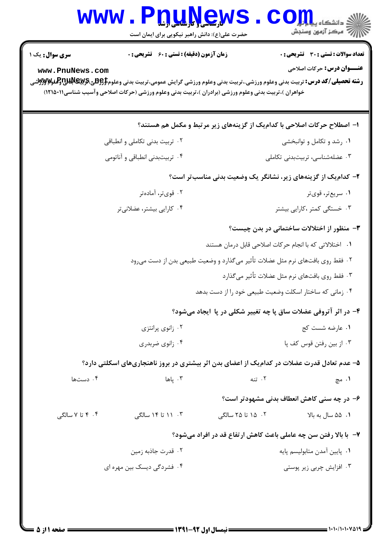|                                | <b>www.Pnunew</b><br>حضرت علی(ع): دانش راهبر نیکویی برای ایمان است                                                                                                                                                                                  |                                                                                | $\mathbf{CO}$ in in the set of $\mathbf{C}$<br>\  // " مرکز آزمون وسنڊش |  |  |
|--------------------------------|-----------------------------------------------------------------------------------------------------------------------------------------------------------------------------------------------------------------------------------------------------|--------------------------------------------------------------------------------|-------------------------------------------------------------------------|--|--|
| <b>سری سوال :</b> یک ۱         | <b>زمان آزمون (دقیقه) : تستی : 60 ٪ تشریحی : 0</b>                                                                                                                                                                                                  |                                                                                | <b>تعداد سوالات : تستی : 30 ٪ تشریحی : 0</b>                            |  |  |
| www.PnuNews.com                | <b>رشته تحصیلی/کد درس:</b> تربیت بدنی وعلوم ورزشی.،تربیت بدنی وعلوم ورزشی گرایش عمومی،تربیت بدنی وعلوم <b>‡و \$یچ \$\$Pلياچاوگلو#Xyy</b> تو<br>خواهران )،تربیت بدنی وعلوم ورزشی (برادران )،تربیت بدنی وعلوم ورزشی (حرکات اصلاحی وآسیب شناسی(۱۲۱۵۰۱) |                                                                                | <b>عنـــوان درس :</b> حرکات اصلاحی                                      |  |  |
|                                |                                                                                                                                                                                                                                                     |                                                                                | ا– اصطلاح حرکات اصلاحی با کدامیک از گزینههای زیر مرتبط و مکمل هم هستند؟ |  |  |
| ۰۲ تربیت بدنی تکاملی و انطباقی |                                                                                                                                                                                                                                                     | ۰۱ رشد و تکامل و توانبخشی                                                      |                                                                         |  |  |
| ۰۴ تربیتبدنی انطباقی و آناتومی |                                                                                                                                                                                                                                                     |                                                                                | ۰۳ عضلهشناسی، تربیتبدنی تکاملی                                          |  |  |
|                                |                                                                                                                                                                                                                                                     |                                                                                | ۲- کدامیک از گزینههای زیر، نشانگر یک وضعیت بدنی مناسبتر است؟            |  |  |
| ۰۲ قویتر، آمادهتر              |                                                                                                                                                                                                                                                     |                                                                                | ۰۱ سریعتر، قویتر                                                        |  |  |
|                                | ۰۴ کارایی بیشتر، عضلانیتر                                                                                                                                                                                                                           |                                                                                | ۰۳ خستگی کمتر ،کارایی بیشتر                                             |  |  |
|                                |                                                                                                                                                                                                                                                     |                                                                                | ۰۳ منظور از اختلالات ساختمانی در بدن چیست؟                              |  |  |
|                                |                                                                                                                                                                                                                                                     | ۰۱ اختلالاتی که با انجام حرکات اصلاحی قابل درمان هستند                         |                                                                         |  |  |
|                                |                                                                                                                                                                                                                                                     | ۰۲ فقط روی بافتهای نرم مثل عضلات تأثیر میگذارد و وضعیت طبیعی بدن از دست می رود |                                                                         |  |  |
|                                | ۰۳ فقط روى بافتهاى نرم مثل عضلات تأثير مىگذارد                                                                                                                                                                                                      |                                                                                |                                                                         |  |  |
|                                |                                                                                                                                                                                                                                                     | ۰۴ زمانی که ساختار اسکلت وضعیت طبیعی خود را از دست بدهد                        |                                                                         |  |  |
|                                |                                                                                                                                                                                                                                                     |                                                                                | ۴- در اثر آتروفی عضلات ساق پا چه تغییر شکلی در پا ۱یجاد میشود؟          |  |  |
|                                | ۰۲ زانوي پرانتزي                                                                                                                                                                                                                                    | ۰۱ عارضه شست کج                                                                |                                                                         |  |  |
|                                | ۰۴ زانوی ضربدری                                                                                                                                                                                                                                     |                                                                                | ۰۳ از بین رفتن قوس کف یا                                                |  |  |
|                                | ۵– عدم تعادل قدرت عضلات در کدامیک از اعضای بدن اثر بیشتری در بروز ناهنجاریهای اسکلتی دارد؟                                                                                                                                                          |                                                                                |                                                                         |  |  |
| ۰۴ دستها                       | ۰۳ یاها                                                                                                                                                                                                                                             | ۰۲ تنه                                                                         | ۰۱ مچ                                                                   |  |  |
|                                |                                                                                                                                                                                                                                                     |                                                                                | ۶- در چه سنی کاهش انعطاف بدنی مشهودتر است؟                              |  |  |
| ۰۴ تا ۷ سالگی                  | ۰۳ ۱۱ تا ۱۴ سالگی                                                                                                                                                                                                                                   | ۰۲ ۱۵ تا ۲۵ سالگی                                                              | ۰۱ ۵۵ سال به بالا                                                       |  |  |
|                                |                                                                                                                                                                                                                                                     |                                                                                | ٧- با بالا رفتن سن چه عاملي باعث كاهش ارتفاع قد در افراد ميشود؟         |  |  |
|                                | ۰۲ قدرت جاذبه زمین                                                                                                                                                                                                                                  |                                                                                | ۰۱ پايين آمدن متابوليسم پايه                                            |  |  |
| ۰۴ فشردگی دیسک بین مهره ای     |                                                                                                                                                                                                                                                     |                                                                                | ۰۳ افزایش چربی زیر پوستی                                                |  |  |
|                                |                                                                                                                                                                                                                                                     |                                                                                |                                                                         |  |  |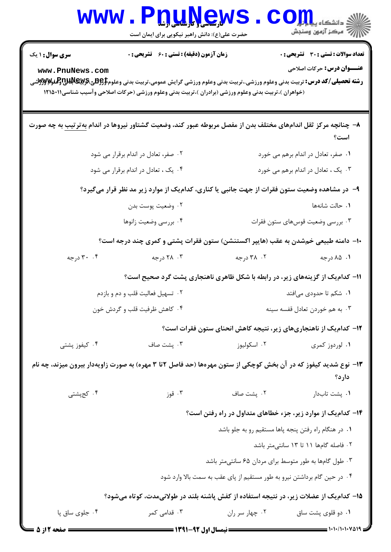| WWW                                                                                                                     | <b>VILLAND IN</b><br>حضرت علی(ع): دانش راهبر نیکویی برای ایمان است                                                                                                                                                                                                                                       |                                                                          | ≦ دانشکاه پی <mark>ا ب</mark> ا ت <mark>و</mark> ر<br>رُ⁄ آمرڪز آزمون وسنڊش       |  |  |
|-------------------------------------------------------------------------------------------------------------------------|----------------------------------------------------------------------------------------------------------------------------------------------------------------------------------------------------------------------------------------------------------------------------------------------------------|--------------------------------------------------------------------------|-----------------------------------------------------------------------------------|--|--|
| <b>سری سوال : ۱ یک</b><br>www.PnuNews.com                                                                               | <b>زمان آزمون (دقیقه) : تستی : 60 ٪ تشریحی : 0</b><br><b>رشته تحصیلی/کد درس:</b> تربیت بدنی وعلوم ورزشی.،تربیت بدنی وعلوم ورزشی گرایش عمومی،تربیت بدنی وعلوم <b>‡وGیتیEپیآپلناپوتوگلو۷و</b> کوتش<br>(خواهران )،تربیت بدنی وعلوم ورزشی (برادران )،تربیت بدنی وعلوم ورزشی (حرکات اصلاحی وآسیب شناسی۱۲۱۵۰۱۱ |                                                                          | <b>تعداد سوالات : تستی : 30 ٪ تشریحی : 0</b><br><b>عنـــوان درس:</b> حرکات اصلاحی |  |  |
|                                                                                                                         | ۸–  چنانچه مرکز ثقل اندامهای مختلف بدن از مفصل مربوطه عبور کند، وضعیت گشتاور نیروها در اندام <u>به تر تیب</u> به چه صورت                                                                                                                                                                                 |                                                                          | است؟                                                                              |  |  |
| ۰۲ صفر، تعادل در اندام برقرار می شود                                                                                    |                                                                                                                                                                                                                                                                                                          |                                                                          | ۰۱ صفر، تعادل در اندام برهم می خورد                                               |  |  |
| ۰۴ یک ، تعادل در اندام برقرار می شود                                                                                    |                                                                                                                                                                                                                                                                                                          | ۰۳ یک ، تعادل در اندام برهم می خورد                                      |                                                                                   |  |  |
|                                                                                                                         | ۹– در مشاهده وضعیت ستون فقرات از جهت جانبی یا کناری، کدام یک از موارد زیر مد نظر قرار میگیرد؟                                                                                                                                                                                                            |                                                                          |                                                                                   |  |  |
|                                                                                                                         | ۰۲ وضعيت پوست بدن                                                                                                                                                                                                                                                                                        |                                                                          | ٠١ حالت شانهها                                                                    |  |  |
| ۰۴ بررسي وضعيت زانوها                                                                                                   |                                                                                                                                                                                                                                                                                                          | ۰۳ بررسی وضعیت قوسهای ستون فقرات                                         |                                                                                   |  |  |
|                                                                                                                         | +ا– دامنه طبیعی خمشدن به عقب (هایپر اکستنشن) ستون فقرات پشتی و کمری چند درجه است؟                                                                                                                                                                                                                        |                                                                          |                                                                                   |  |  |
| ۰۴ درجه                                                                                                                 | ۰۳ درجه                                                                                                                                                                                                                                                                                                  | ۰۲ درجه                                                                  | ۰۱ ۸۵ درجه                                                                        |  |  |
| 11- کدام یک از گزینههای زیر، در رابطه با شکل ظاهری ناهنجاری پشت گرد صحیح است؟                                           |                                                                                                                                                                                                                                                                                                          |                                                                          |                                                                                   |  |  |
|                                                                                                                         | ۰۲ تسهیل فعالیت قلب و دم و بازدم<br>۰۱ شکم تا حدودی میافتد                                                                                                                                                                                                                                               |                                                                          |                                                                                   |  |  |
| ۰۴ کاهش ظرفیت قلب و گردش خون                                                                                            |                                                                                                                                                                                                                                                                                                          | ۰۳ به هم خوردن تعادل قفسه سينه                                           |                                                                                   |  |  |
|                                                                                                                         |                                                                                                                                                                                                                                                                                                          | ۱۲– کدامیک از ناهنجاریهای زیر، نتیجه کاهش انحنای ستون فقرات است؟         |                                                                                   |  |  |
| ۰۴ کیفوز پشتی                                                                                                           | ۰۳ پشت صاف                                                                                                                                                                                                                                                                                               | ۰۲ اسکولیوز                                                              | ۰۱ لوردوز کمری                                                                    |  |  |
| ۱۳- نوع شدید کیفوز که در آن بخش کوچکی از ستون مهرهها (حد فاصل ۲تا ۳ مهره) به صورت زاویهدار بیرون میزند، چه نام<br>دارد؟ |                                                                                                                                                                                                                                                                                                          |                                                                          |                                                                                   |  |  |
| ۰۴ کجپشتی                                                                                                               | ۰۳ قوز                                                                                                                                                                                                                                                                                                   | ٠٢ پشت صاف                                                               | ٠١. پشت تابدار                                                                    |  |  |
| ۱۴- کدام یک از موارد زیر، جزء خطاهای متداول در راه رفتن است؟                                                            |                                                                                                                                                                                                                                                                                                          |                                                                          |                                                                                   |  |  |
| ۰۱ در هنگام راه رفتن پنجه پاها مستقیم رو به جلو باشد                                                                    |                                                                                                                                                                                                                                                                                                          |                                                                          |                                                                                   |  |  |
| ٢. فاصله گامها ١١ تا ١٣ سانتى متر باشد                                                                                  |                                                                                                                                                                                                                                                                                                          |                                                                          |                                                                                   |  |  |
|                                                                                                                         |                                                                                                                                                                                                                                                                                                          | ۰۳ طول گامها به طور متوسط برای مردان ۶۵ سانتیمتر باشد                    |                                                                                   |  |  |
|                                                                                                                         |                                                                                                                                                                                                                                                                                                          | ۰۴ در حین گام برداشتن نیرو به طور مستقیم از پای عقب به سمت بالا وارد شود |                                                                                   |  |  |
| ۱۵– کدامیک از عضلات زیر، در نتیجه استفاده از کفش پاشنه بلند در طولانیمدت، کوتاه میشود؟                                  |                                                                                                                                                                                                                                                                                                          |                                                                          |                                                                                   |  |  |
| ۰۴ جلوی ساق پا                                                                                                          | ۰۳ قدامی کمر                                                                                                                                                                                                                                                                                             | ۰۲ چهار سر ران                                                           | ۰۱ دو قلوی پشت ساق                                                                |  |  |
| صفحه 12ز 5                                                                                                              | <b>= نیمسال اول 92-1391 <del>=====</del></b>                                                                                                                                                                                                                                                             |                                                                          |                                                                                   |  |  |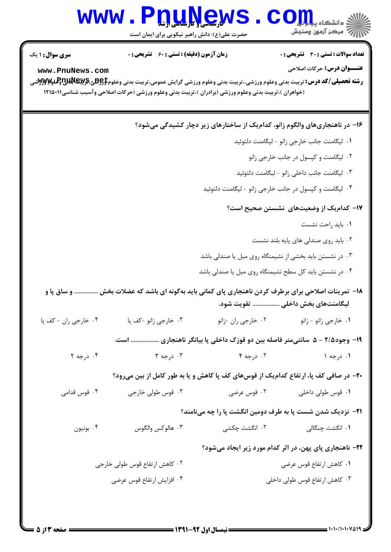## WWW.PnuNews.Com .<br>\||// " مرکز آزمون وسنڊش حضرت علی(ع): دانش راهبر نیکویی برای ایمان است **تعداد سوالات : تستي : 30 ٪ تشريحي : 0 سری سوال : ۱ یک زمان آزمون (دقیقه) : تستی : 60 تشریحی : 0 عنــوان درس: حرکات اصلاحی** www.PnuNews.com **رشته تحصیلی/کد درس:** تربیت بدنی وعلوم ورزشی.،تربیت بدنی وعلوم ورزشی گرایش عمومی،تربیت بدنی وعلوم**‡وBپی،Bپیآپلنلچولواپاپر** (خواهران )،تربیت بدنی وعلوم ورزشی (برادران )،تربیت بدنی وعلوم ورزشی (حرکات اصلاحی وآسیب شناسی ۱۲۱۵۰۱۱ ۱۶- در ناهنجاریهای والگوم زانو، کدامیک از ساختارهای زیر دچار کشیدگی میشود؟ ٠١. ليگامنت جانب خارجي زانو - ليگامنت دلتوئيد ۰۲ لیگامنت و کپسول در جانب خارجی زانو ۰۳ لیگامنت جانب داخلی زانو - لیگامنت دلتوئید

۰۴ لیگامنت و کپسول در جانب خارجی زانو - لیگامنت دلتوئید

## ۱۷– کدامیک از وضعیتهای نشستن صحیح است؟

- ۰۱ باید راحت نشست
- ۲. باید روی صندلی های پایه بلند نشست
- ۰۳ در نشستن باید بخشی از نشیمنگاه روی مبل یا صندلی باشد
- ۰۴ در نشستن باید کل سطح نشیمنگاه روی مبل یا صندلی باشد
- ۱۸- تمرینات اصلاحی برای برطرف کردن ناهنجاری پای کمانی باید بهگونه ای باشد که عضلات بخش .............. و ساق پا و لیگامنتهای بخش داخلی ................. تقویت شود.
- ۰۴ خارجی ران کف یا ۰۳ خا<sub>ر</sub>جي زانو -کف يا
	- ۱۹- وجود۲/۵ ۵ سانتیمتر فاصله بین دو قوزک داخلی پا بیانگر ناهنجاری ................. است.
	- $\mathsf{r}\mathrel{\mathsf{_{\sim}}} \mathrel{\mathsf{_{\sim}}} \mathrel{\mathsf{.}} \mathsf{r}$  $F \leftrightarrow 0.5$  ،  $V$ ۰۴ د, جه ۲  $1 \leftrightarrow 0$ .

**۲۰**- در صافی کف پا، ارتفاع کدامیک از قوسهای کف پا کاهش و پا به طور کامل از بین میرود؟

- ۰۳ قوس طولي خارجي ۰۴ قوس قدامی ۰۱ قوس طولی داخلی سیست ۲۰ قوس عرضی
	- **۲۱** نزدیک شدن شست یا به طرف دومین انگشت یا را چه مینامند؟
	- ۰۳ هالوکس والگوس ۲. انگشت چکشی **۱.** انگشت چنگالی بونيون  $\cdot$ ۴

## ۲۲- ناهنجاری پای پهن، در اثر کدام مورد زیر ایجاد میشود؟

۰۲ کاهش ارتفاع قوس طولی خارجی ۰۱ كاهش ارتفاع قوس عرضى ۴ . افزایش ارتفاع قوس عرضی ۰۳ کاهش ارتفاع قوس طولی داخلی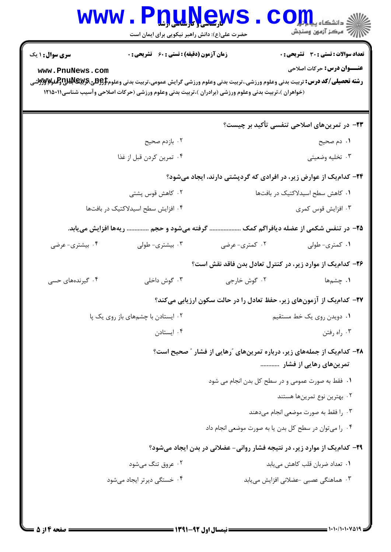| <b>WWW</b>                                                                                                                                                                             | <b>T.I. LJ.J. S. E.J. V</b><br>حضرت علی(ع): دانش راهبر نیکویی برای ایمان است |                                                                                                      | ن دانشگاه پ <b>یا یا با<mark>ر</mark></b><br>رِ ۖ مرڪز آزمون وسنڊش                |
|----------------------------------------------------------------------------------------------------------------------------------------------------------------------------------------|------------------------------------------------------------------------------|------------------------------------------------------------------------------------------------------|-----------------------------------------------------------------------------------|
| <b>سری سوال : ۱ یک</b><br>www.PnuNews.com<br><b>رشته تحصیلی/کد درس:</b> تربیت بدنی وعلوم ورزشی.،تربیت بدنی وعلوم ورزشی گرایش عمومی،تربیت بدنی وعلوم <b>‡\$Bپیچلالاتی لوگلو#Ayyy</b> شی | <b>زمان آزمون (دقیقه) : تستی : 60 ٪ تشریحی : 0</b>                           | (خواهران )،تربیت بدنی وعلوم ورزشی (برادران )،تربیت بدنی وعلوم ورزشی (حرکات اصلاحی وآسیب شناسی۱۲۱۵۰۱۱ | <b>تعداد سوالات : تستی : 30 ٪ تشریحی : 0</b><br><b>عنـــوان درس:</b> حرکات اصلاحی |
|                                                                                                                                                                                        |                                                                              |                                                                                                      | <b>۲۳</b> - در تمرینهای اصلاحی تنفسی تأکید بر چیست؟                               |
|                                                                                                                                                                                        | ۰۲ بازدم صحیح                                                                |                                                                                                      | ۱. دم صحیح                                                                        |
|                                                                                                                                                                                        | ۰۴ تمرين كردن قبل از غذا                                                     |                                                                                                      | ۰۳ تخليه وضعيتي                                                                   |
|                                                                                                                                                                                        |                                                                              | ۲۴- کدام یک از عوارض زیر، در افرادی که گردپشتی دارند، ایجاد میشود؟                                   |                                                                                   |
| ۰۲ کاهش قوس پشتی                                                                                                                                                                       |                                                                              |                                                                                                      | ٠١ كاهش سطح اسيدلاكتيك در بافتها                                                  |
| ۰۴ افزایش سطح اسیدلاکتیک در بافتها                                                                                                                                                     |                                                                              | ۰۳ افزایش قوس کمری                                                                                   |                                                                                   |
|                                                                                                                                                                                        | گرفته میشود و حجم  ریهها افزایش مییابد.                                      |                                                                                                      | ۲۵– در تنفس شکمی از عضله دیافراگم کمک                                             |
| ۰۴ بیشتری- عرضی                                                                                                                                                                        | ۰۳ بیشتری- طولی                                                              | ۰۲ کمتری-عرضی                                                                                        | ۰۱ کمتری- طولی                                                                    |
|                                                                                                                                                                                        |                                                                              | ۲۶- کدام یک از موارد زیر، در کنترل تعادل بدن فاقد نقش است؟                                           |                                                                                   |
| ۰۴ گیرندههای حسی                                                                                                                                                                       | ۰۳ گوش داخلی                                                                 | ۰۲ گوش خارجي                                                                                         | <b>۱.</b> چش <sub>م'</sub> ها                                                     |
|                                                                                                                                                                                        |                                                                              | ۲۷– کدامیک از آزمونهای زیر، حفظ تعادل را در حالت سکون ارزیابی میکند؟                                 |                                                                                   |
|                                                                                                                                                                                        | ۰۲ ایستادن با چشمهای باز روی یک پا                                           | ۰۱ دویدن روی یک خط مستقیم                                                                            |                                                                                   |
|                                                                                                                                                                                        | ۰۴ ایستادن                                                                   | ۰۳ راه رفتن                                                                                          |                                                                                   |
|                                                                                                                                                                                        |                                                                              | ۲۸– کدامیک از جملههای زیر، درباره تمرینهای ″رهایی از فشار ″ صحیح است؟                                | تمرینهای رهایی از فشار                                                            |
|                                                                                                                                                                                        |                                                                              | ۰۱ فقط به صورت عمومی و در سطح کل بدن انجام می شود                                                    |                                                                                   |
|                                                                                                                                                                                        |                                                                              |                                                                                                      | ۰۲ بهترین نوع تمرینها هستند                                                       |
|                                                                                                                                                                                        |                                                                              |                                                                                                      | ۰۳ را فقط به صورت موضعی انجام میدهند                                              |
|                                                                                                                                                                                        |                                                                              | ۰۴ را میتوان در سطح کل بدن یا به صورت موضعی انجام داد                                                |                                                                                   |
|                                                                                                                                                                                        |                                                                              | ۲۹- کدام یک از موارد زیر، در نتیجه فشار روانی- عضلانی در بدن ایجاد میشود؟                            |                                                                                   |
|                                                                                                                                                                                        | ۰۲ عروق تنگ میشود                                                            |                                                                                                      | ٠١ تعداد ضربان قلب كاهش مى يابد                                                   |
|                                                                                                                                                                                        | ۰۴ خستگی دیرتر ایجاد می شود                                                  |                                                                                                      | ۰۳ هماهنگی عصبی -عضلانی افزایش مییابد                                             |
|                                                                                                                                                                                        |                                                                              |                                                                                                      |                                                                                   |